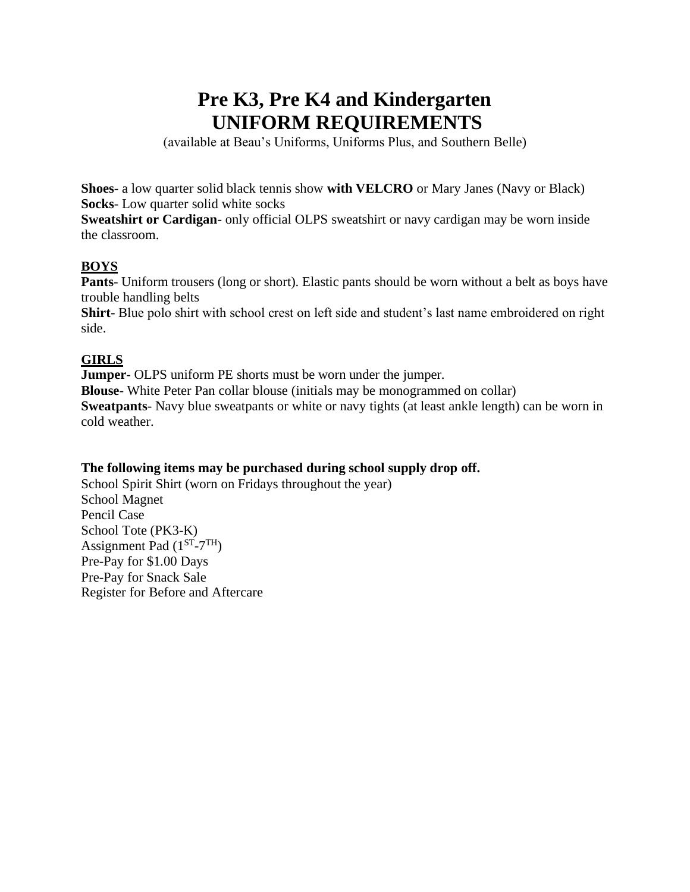# **Pre K3, Pre K4 and Kindergarten UNIFORM REQUIREMENTS**

(available at Beau's Uniforms, Uniforms Plus, and Southern Belle)

**Shoes**- a low quarter solid black tennis show **with VELCRO** or Mary Janes (Navy or Black) **Socks**- Low quarter solid white socks

**Sweatshirt or Cardigan**- only official OLPS sweatshirt or navy cardigan may be worn inside the classroom.

# **BOYS**

**Pants**- Uniform trousers (long or short). Elastic pants should be worn without a belt as boys have trouble handling belts

**Shirt**- Blue polo shirt with school crest on left side and student's last name embroidered on right side.

# **GIRLS**

**Jumper**- OLPS uniform PE shorts must be worn under the jumper.

**Blouse**- White Peter Pan collar blouse (initials may be monogrammed on collar) **Sweatpants**- Navy blue sweatpants or white or navy tights (at least ankle length) can be worn in cold weather.

### **The following items may be purchased during school supply drop off.**

School Spirit Shirt (worn on Fridays throughout the year) School Magnet Pencil Case School Tote (PK3-K) Assignment Pad  $(1^{ST} - 7^{TH})$ Pre-Pay for \$1.00 Days Pre-Pay for Snack Sale Register for Before and Aftercare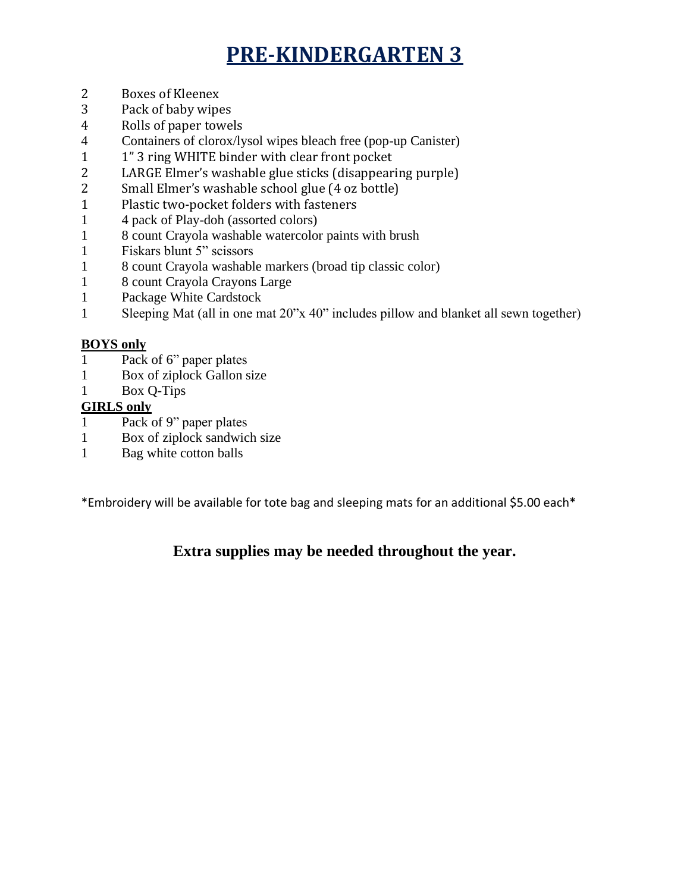# **PRE-KINDERGARTEN 3**

- 2 Boxes of Kleenex
- 3 Pack of baby wipes
- 4 Rolls of paper towels
- 4 Containers of clorox/lysol wipes bleach free (pop-up Canister)
- 1 1" 3 ring WHITE binder with clear front pocket
- 2 LARGE Elmer's washable glue sticks (disappearing purple)
- 2 Small Elmer's washable school glue (4 oz bottle)
- 1 Plastic two-pocket folders with fasteners
- 1 4 pack of Play-doh (assorted colors)
- 1 8 count Crayola washable watercolor paints with brush
- 1 Fiskars blunt 5" scissors
- 1 8 count Crayola washable markers (broad tip classic color)
- 1 8 count Crayola Crayons Large
- 1 Package White Cardstock
- 1 Sleeping Mat (all in one mat 20"x 40" includes pillow and blanket all sewn together)

# **BOYS only**

- 1 Pack of 6" paper plates
- 1 Box of ziplock Gallon size
- 1 Box Q-Tips

# **GIRLS only**

- 1 Pack of 9" paper plates
- 1 Box of ziplock sandwich size
- 1 Bag white cotton balls

\*Embroidery will be available for tote bag and sleeping mats for an additional \$5.00 each\*

# **Extra supplies may be needed throughout the year.**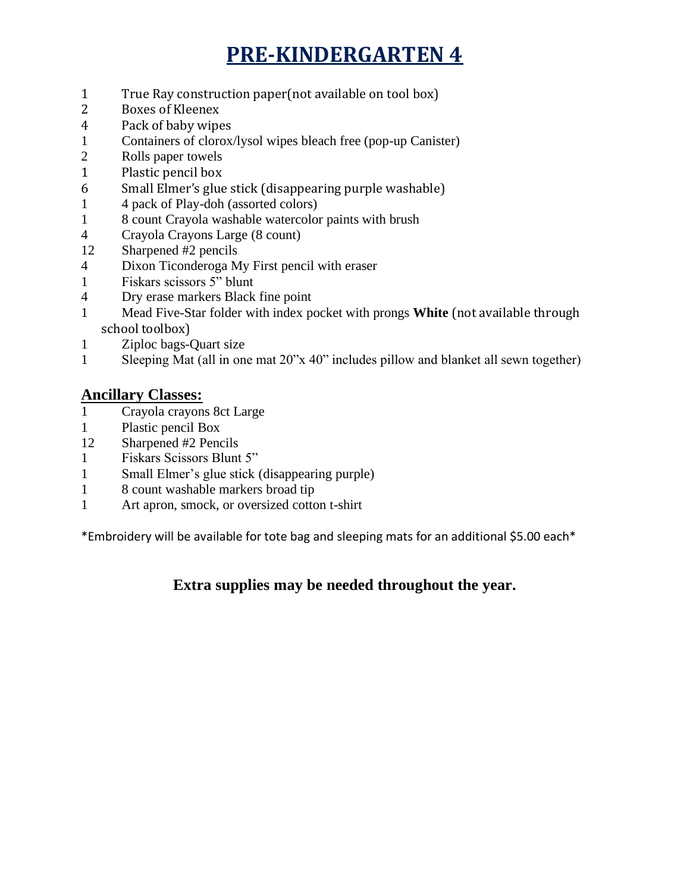# **PRE-KINDERGARTEN 4**

- 1 True Ray construction paper(not available on tool box)
- 2 Boxes of Kleenex
- 4 Pack of baby wipes
- 1 Containers of clorox/lysol wipes bleach free (pop-up Canister)
- 2 Rolls paper towels
- 1 Plastic pencil box
- 6 Small Elmer's glue stick (disappearing purple washable)
- 1 4 pack of Play-doh (assorted colors)
- 1 8 count Crayola washable watercolor paints with brush
- 4 Crayola Crayons Large (8 count)
- 12 Sharpened #2 pencils
- 4 Dixon Ticonderoga My First pencil with eraser
- 1 Fiskars scissors 5" blunt
- 4 Dry erase markers Black fine point
- 1 Mead Five-Star folder with index pocket with prongs **White** (not available through school toolbox)
- 1 Ziploc bags-Quart size
- 1 Sleeping Mat (all in one mat 20"x 40" includes pillow and blanket all sewn together)

# **Ancillary Classes:**

- 1 Crayola crayons 8ct Large
- 1 Plastic pencil Box
- 12 Sharpened #2 Pencils
- 1 Fiskars Scissors Blunt 5"
- 1 Small Elmer's glue stick (disappearing purple)
- 1 8 count washable markers broad tip
- 1 Art apron, smock, or oversized cotton t-shirt

\*Embroidery will be available for tote bag and sleeping mats for an additional \$5.00 each\*

# **Extra supplies may be needed throughout the year.**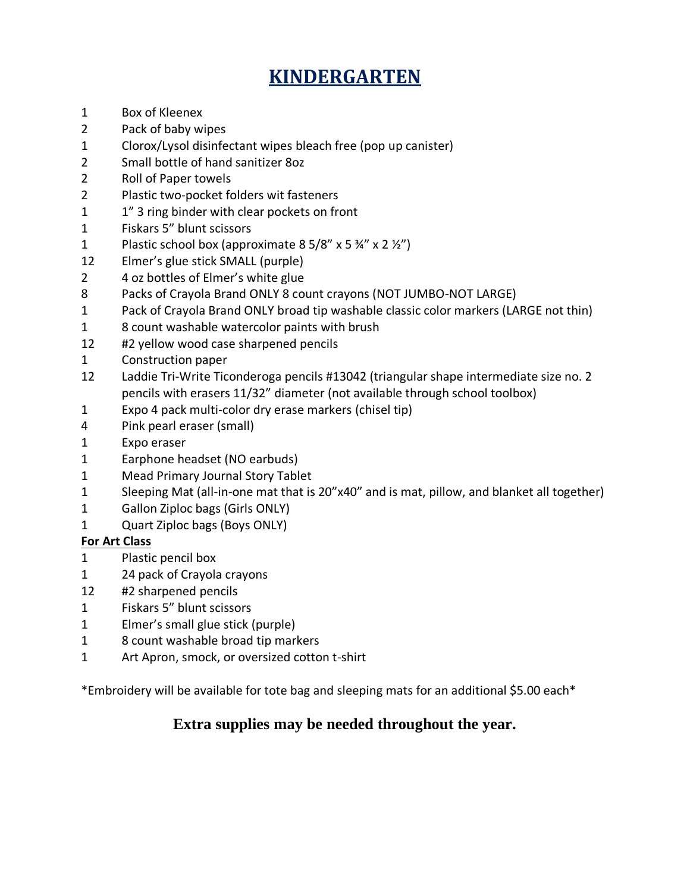# **KINDERGARTEN**

- 1 Box of Kleenex
- 2 Pack of baby wipes
- 1 Clorox/Lysol disinfectant wipes bleach free (pop up canister)
- 2 Small bottle of hand sanitizer 8oz
- 2 Roll of Paper towels
- 2 Plastic two-pocket folders wit fasteners
- 1 1" 3 ring binder with clear pockets on front
- 1 Fiskars 5" blunt scissors
- 1 Plastic school box (approximate  $8\frac{5}{8}$  x  $5\frac{3}{4}$  x  $2\frac{1}{2}$ )
- 12 Elmer's glue stick SMALL (purple)
- 2 4 oz bottles of Elmer's white glue
- 8 Packs of Crayola Brand ONLY 8 count crayons (NOT JUMBO-NOT LARGE)
- 1 Pack of Crayola Brand ONLY broad tip washable classic color markers (LARGE not thin)
- 1 8 count washable watercolor paints with brush
- 12 #2 yellow wood case sharpened pencils
- 1 Construction paper
- 12 Laddie Tri-Write Ticonderoga pencils #13042 (triangular shape intermediate size no. 2 pencils with erasers 11/32" diameter (not available through school toolbox)
- 1 Expo 4 pack multi-color dry erase markers (chisel tip)
- 4 Pink pearl eraser (small)
- 1 Expo eraser
- 1 Earphone headset (NO earbuds)
- 1 Mead Primary Journal Story Tablet
- 1 Sleeping Mat (all-in-one mat that is 20"x40" and is mat, pillow, and blanket all together)
- 1 Gallon Ziploc bags (Girls ONLY)
- 1 Quart Ziploc bags (Boys ONLY)

### **For Art Class**

- 1 Plastic pencil box
- 1 24 pack of Crayola crayons
- 12 #2 sharpened pencils
- 1 Fiskars 5" blunt scissors
- 1 Elmer's small glue stick (purple)
- 1 8 count washable broad tip markers
- 1 Art Apron, smock, or oversized cotton t-shirt

\*Embroidery will be available for tote bag and sleeping mats for an additional \$5.00 each\*

# **Extra supplies may be needed throughout the year.**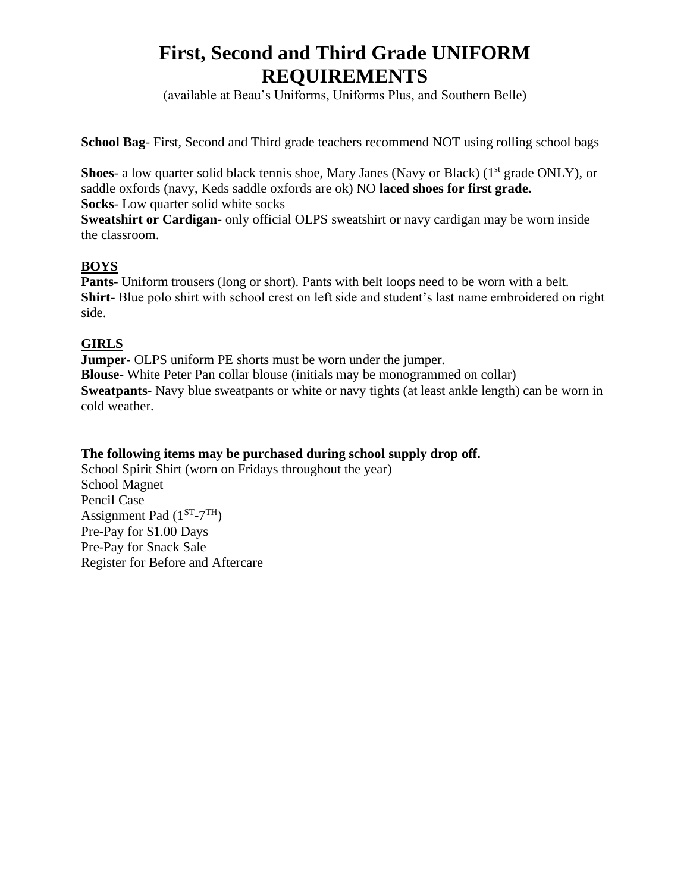# **First, Second and Third Grade UNIFORM REQUIREMENTS**

(available at Beau's Uniforms, Uniforms Plus, and Southern Belle)

**School Bag**- First, Second and Third grade teachers recommend NOT using rolling school bags

Shoes- a low quarter solid black tennis shoe, Mary Janes (Navy or Black) (1<sup>st</sup> grade ONLY), or saddle oxfords (navy, Keds saddle oxfords are ok) NO **laced shoes for first grade. Socks**- Low quarter solid white socks

**Sweatshirt or Cardigan**- only official OLPS sweatshirt or navy cardigan may be worn inside the classroom.

### **BOYS**

**Pants**- Uniform trousers (long or short). Pants with belt loops need to be worn with a belt. **Shirt**- Blue polo shirt with school crest on left side and student's last name embroidered on right side.

# **GIRLS**

**Jumper**- OLPS uniform PE shorts must be worn under the jumper. **Blouse**- White Peter Pan collar blouse (initials may be monogrammed on collar) **Sweatpants**- Navy blue sweatpants or white or navy tights (at least ankle length) can be worn in cold weather.

# **The following items may be purchased during school supply drop off.**

School Spirit Shirt (worn on Fridays throughout the year) School Magnet Pencil Case Assignment Pad  $(1^{ST} - 7^{TH})$ Pre-Pay for \$1.00 Days Pre-Pay for Snack Sale Register for Before and Aftercare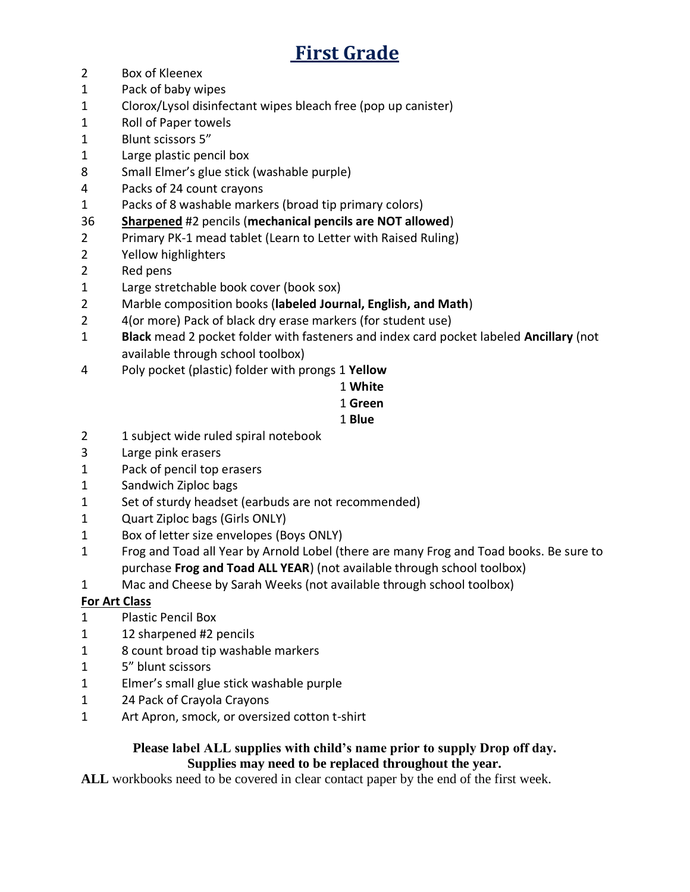# **First Grade**

- Box of Kleenex
- Pack of baby wipes
- Clorox/Lysol disinfectant wipes bleach free (pop up canister)
- Roll of Paper towels
- Blunt scissors 5"
- 1 Large plastic pencil box
- Small Elmer's glue stick (washable purple)
- Packs of 24 count crayons
- Packs of 8 washable markers (broad tip primary colors)
- **Sharpened** #2 pencils (**mechanical pencils are NOT allowed**)
- Primary PK-1 mead tablet (Learn to Letter with Raised Ruling)
- Yellow highlighters
- 2 Red pens
- 1 Large stretchable book cover (book sox)
- Marble composition books (**labeled Journal, English, and Math**)
- 2 4(or more) Pack of black dry erase markers (for student use)
- **Black** mead 2 pocket folder with fasteners and index card pocket labeled **Ancillary** (not available through school toolbox)
- Poly pocket (plastic) folder with prongs 1 **Yellow**

# **White**

**Green**

# **Blue**

- 1 subject wide ruled spiral notebook
- Large pink erasers
- Pack of pencil top erasers
- 1 Sandwich Ziploc bags
- 1 Set of sturdy headset (earbuds are not recommended)
- 1 Quart Ziploc bags (Girls ONLY)
- Box of letter size envelopes (Boys ONLY)
- Frog and Toad all Year by Arnold Lobel (there are many Frog and Toad books. Be sure to purchase **Frog and Toad ALL YEAR**) (not available through school toolbox)
- Mac and Cheese by Sarah Weeks (not available through school toolbox)

# **For Art Class**

- Plastic Pencil Box
- 1 12 sharpened #2 pencils
- 8 count broad tip washable markers
- 5" blunt scissors
- Elmer's small glue stick washable purple
- 1 24 Pack of Crayola Crayons
- 1 Art Apron, smock, or oversized cotton t-shirt

# **Please label ALL supplies with child's name prior to supply Drop off day. Supplies may need to be replaced throughout the year.**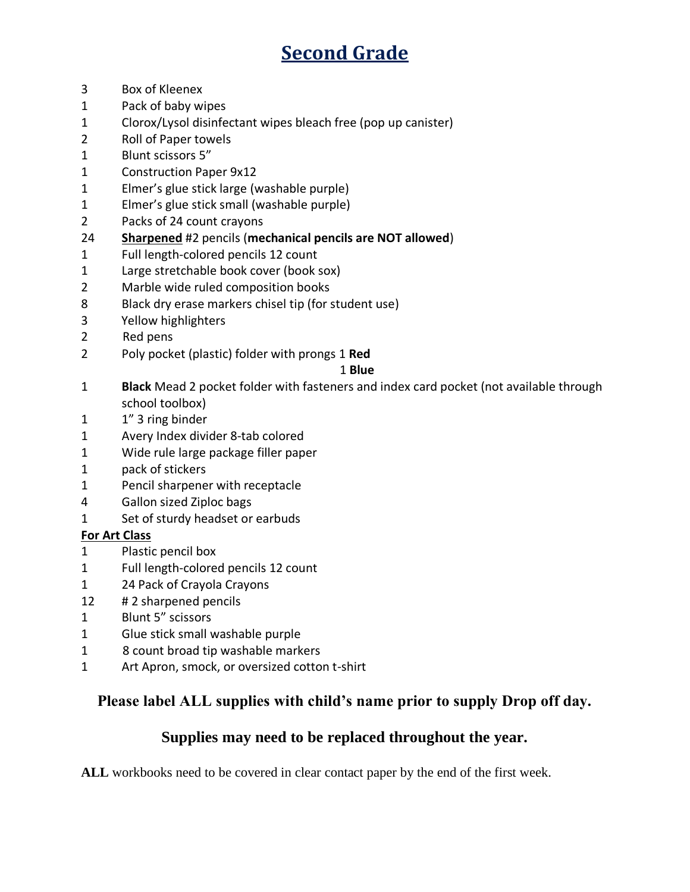# **Second Grade**

- Box of Kleenex
- Pack of baby wipes
- Clorox/Lysol disinfectant wipes bleach free (pop up canister)
- Roll of Paper towels
- Blunt scissors 5"
- Construction Paper 9x12
- Elmer's glue stick large (washable purple)
- Elmer's glue stick small (washable purple)
- Packs of 24 count crayons
- **Sharpened** #2 pencils (**mechanical pencils are NOT allowed**)
- Full length-colored pencils 12 count
- 1 Large stretchable book cover (book sox)
- Marble wide ruled composition books
- Black dry erase markers chisel tip (for student use)
- 3 Yellow highlighters
- 2 Red pens
- Poly pocket (plastic) folder with prongs 1 **Red**

### **Blue**

- **Black** Mead 2 pocket folder with fasteners and index card pocket (not available through school toolbox)
- 1" 3 ring binder
- Avery Index divider 8-tab colored
- 1 Wide rule large package filler paper
- pack of stickers
- Pencil sharpener with receptacle
- Gallon sized Ziploc bags
- 1 Set of sturdy headset or earbuds

# **For Art Class**

- Plastic pencil box
- Full length-colored pencils 12 count
- 1 24 Pack of Crayola Crayons
- # 2 sharpened pencils
- Blunt 5" scissors
- Glue stick small washable purple
- 1 8 count broad tip washable markers
- 1 Art Apron, smock, or oversized cotton t-shirt

# **Please label ALL supplies with child's name prior to supply Drop off day.**

# **Supplies may need to be replaced throughout the year.**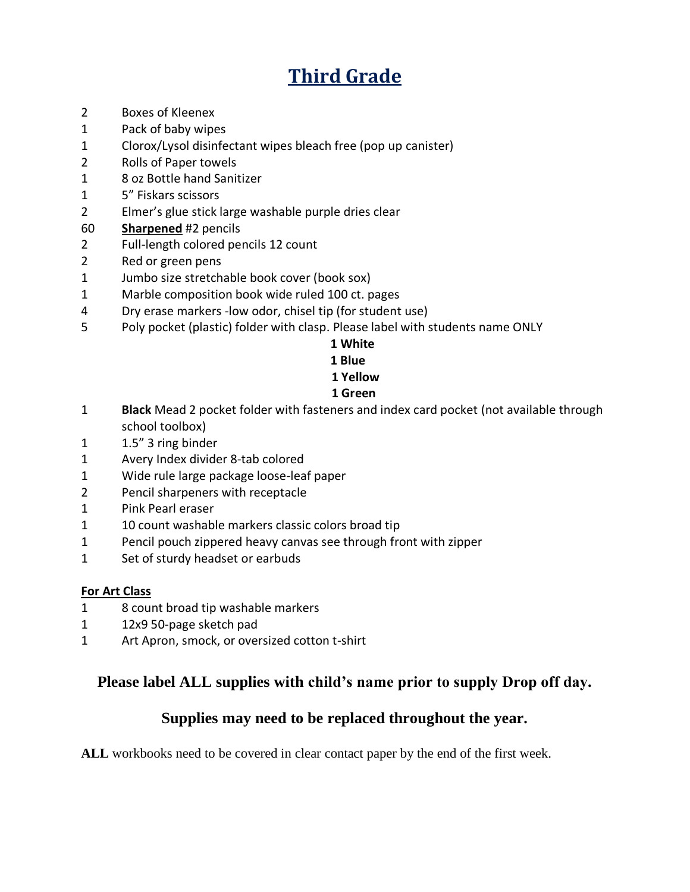# **Third Grade**

- 2 Boxes of Kleenex
- 1 Pack of baby wipes
- 1 Clorox/Lysol disinfectant wipes bleach free (pop up canister)
- 2 Rolls of Paper towels
- 1 8 oz Bottle hand Sanitizer
- 1 5" Fiskars scissors
- 2 Elmer's glue stick large washable purple dries clear
- 60 **Sharpened** #2 pencils
- 2 Full-length colored pencils 12 count
- 2 Red or green pens
- 1 Jumbo size stretchable book cover (book sox)
- 1 Marble composition book wide ruled 100 ct. pages
- 4 Dry erase markers -low odor, chisel tip (for student use)
- 5 Poly pocket (plastic) folder with clasp. Please label with students name ONLY

#### **1 White**

#### **1 Blue**

#### **1 Yellow**

### **1 Green**

- 1 **Black** Mead 2 pocket folder with fasteners and index card pocket (not available through school toolbox)
- 1 1.5" 3 ring binder
- 1 Avery Index divider 8-tab colored
- 1 Wide rule large package loose-leaf paper
- 2 Pencil sharpeners with receptacle
- 1 Pink Pearl eraser
- 1 10 count washable markers classic colors broad tip
- 1 Pencil pouch zippered heavy canvas see through front with zipper
- 1 Set of sturdy headset or earbuds

### **For Art Class**

- 1 8 count broad tip washable markers
- 1 12x9 50-page sketch pad
- 1 Art Apron, smock, or oversized cotton t-shirt

# **Please label ALL supplies with child's name prior to supply Drop off day.**

# **Supplies may need to be replaced throughout the year.**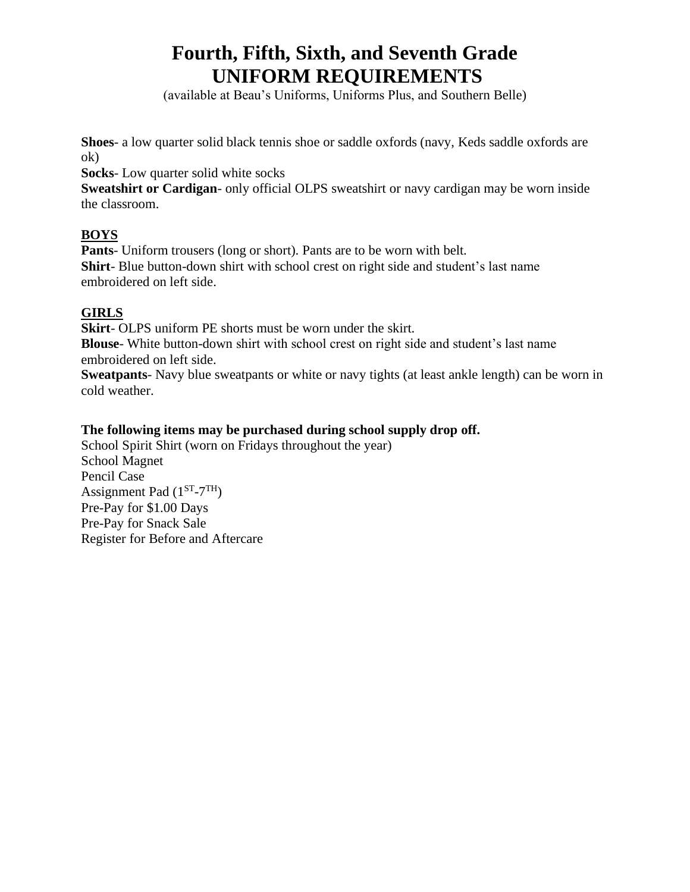# **Fourth, Fifth, Sixth, and Seventh Grade UNIFORM REQUIREMENTS**

(available at Beau's Uniforms, Uniforms Plus, and Southern Belle)

**Shoes**- a low quarter solid black tennis shoe or saddle oxfords (navy, Keds saddle oxfords are ok)

**Socks**- Low quarter solid white socks

**Sweatshirt or Cardigan**- only official OLPS sweatshirt or navy cardigan may be worn inside the classroom.

# **BOYS**

**Pants**- Uniform trousers (long or short). Pants are to be worn with belt. **Shirt**- Blue button-down shirt with school crest on right side and student's last name embroidered on left side.

# **GIRLS**

**Skirt**- OLPS uniform PE shorts must be worn under the skirt.

**Blouse**- White button-down shirt with school crest on right side and student's last name embroidered on left side.

**Sweatpants**- Navy blue sweatpants or white or navy tights (at least ankle length) can be worn in cold weather.

# **The following items may be purchased during school supply drop off.**

School Spirit Shirt (worn on Fridays throughout the year) School Magnet Pencil Case Assignment Pad  $(1^{ST} - 7^{TH})$ Pre-Pay for \$1.00 Days Pre-Pay for Snack Sale Register for Before and Aftercare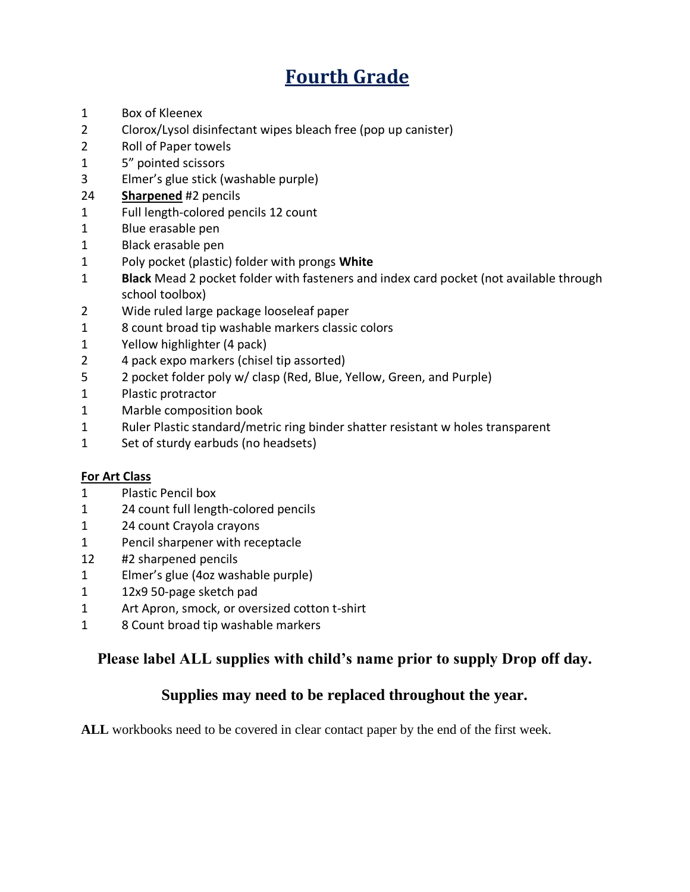# **Fourth Grade**

- Box of Kleenex
- Clorox/Lysol disinfectant wipes bleach free (pop up canister)
- Roll of Paper towels
- 5" pointed scissors
- Elmer's glue stick (washable purple)
- **Sharpened** #2 pencils
- Full length-colored pencils 12 count
- Blue erasable pen
- Black erasable pen
- Poly pocket (plastic) folder with prongs **White**
- **Black** Mead 2 pocket folder with fasteners and index card pocket (not available through school toolbox)
- Wide ruled large package looseleaf paper
- 8 count broad tip washable markers classic colors
- Yellow highlighter (4 pack)
- 4 pack expo markers (chisel tip assorted)
- 2 pocket folder poly w/ clasp (Red, Blue, Yellow, Green, and Purple)
- Plastic protractor
- Marble composition book
- Ruler Plastic standard/metric ring binder shatter resistant w holes transparent
- 1 Set of sturdy earbuds (no headsets)

### **For Art Class**

- Plastic Pencil box
- 24 count full length-colored pencils
- 24 count Crayola crayons
- Pencil sharpener with receptacle
- #2 sharpened pencils
- Elmer's glue (4oz washable purple)
- 12x9 50-page sketch pad
- 1 Art Apron, smock, or oversized cotton t-shirt
- 8 Count broad tip washable markers

# **Please label ALL supplies with child's name prior to supply Drop off day.**

# **Supplies may need to be replaced throughout the year.**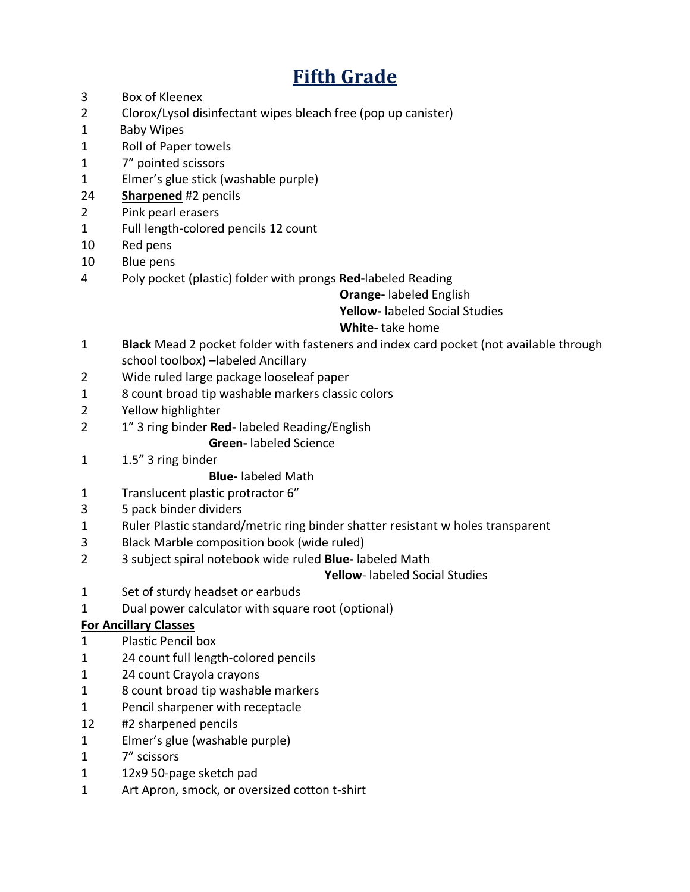# **Fifth Grade**

- Box of Kleenex
- Clorox/Lysol disinfectant wipes bleach free (pop up canister)
- 1 Baby Wipes
- Roll of Paper towels
- 7" pointed scissors
- Elmer's glue stick (washable purple)
- **Sharpened** #2 pencils
- Pink pearl erasers
- Full length-colored pencils 12 count
- Red pens
- Blue pens
- Poly pocket (plastic) folder with prongs **Red-**labeled Reading

# **Orange-** labeled English

 **Yellow-** labeled Social Studies

# **White-** take home

- **Black** Mead 2 pocket folder with fasteners and index card pocket (not available through school toolbox) –labeled Ancillary
- Wide ruled large package looseleaf paper
- 8 count broad tip washable markers classic colors
- Yellow highlighter
- 1" 3 ring binder **Red-** labeled Reading/English
	- **Green-** labeled Science
- 1.5" 3 ring binder

### **Blue-** labeled Math

- Translucent plastic protractor 6"
- 5 pack binder dividers
- Ruler Plastic standard/metric ring binder shatter resistant w holes transparent
- Black Marble composition book (wide ruled)
- 3 subject spiral notebook wide ruled **Blue-** labeled Math

### **Yellow**- labeled Social Studies

- 1 Set of sturdy headset or earbuds
- Dual power calculator with square root (optional)

### **For Ancillary Classes**

- Plastic Pencil box
- 24 count full length-colored pencils
- 24 count Crayola crayons
- 8 count broad tip washable markers
- Pencil sharpener with receptacle
- #2 sharpened pencils
- Elmer's glue (washable purple)
- 7" scissors
- 12x9 50-page sketch pad
- 1 Art Apron, smock, or oversized cotton t-shirt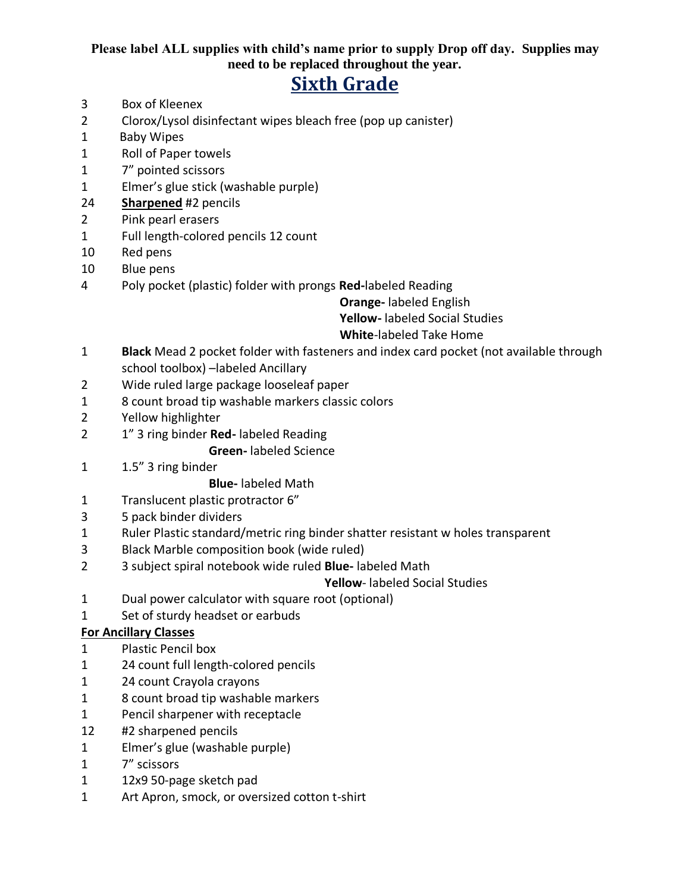# **Please label ALL supplies with child's name prior to supply Drop off day. Supplies may need to be replaced throughout the year.**

# **Sixth Grade**

- Box of Kleenex
- Clorox/Lysol disinfectant wipes bleach free (pop up canister)
- 1 Baby Wipes
- Roll of Paper towels
- 7" pointed scissors
- Elmer's glue stick (washable purple)
- **Sharpened** #2 pencils
- Pink pearl erasers
- Full length-colored pencils 12 count
- 10 Red pens
- Blue pens
- Poly pocket (plastic) folder with prongs **Red-**labeled Reading

 **Orange-** labeled English

 **Yellow-** labeled Social Studies

# **White**-labeled Take Home

- **Black** Mead 2 pocket folder with fasteners and index card pocket (not available through school toolbox) –labeled Ancillary
- 2 Wide ruled large package looseleaf paper
- 8 count broad tip washable markers classic colors
- Yellow highlighter
- 1" 3 ring binder **Red-** labeled Reading

### **Green-** labeled Science

1.5" 3 ring binder

# **Blue-** labeled Math

- Translucent plastic protractor 6"
- 5 pack binder dividers
- Ruler Plastic standard/metric ring binder shatter resistant w holes transparent
- Black Marble composition book (wide ruled)
- 3 subject spiral notebook wide ruled **Blue-** labeled Math

### **Yellow**- labeled Social Studies

- Dual power calculator with square root (optional)
- 1 Set of sturdy headset or earbuds

### **For Ancillary Classes**

- Plastic Pencil box
- 24 count full length-colored pencils
- 24 count Crayola crayons
- 8 count broad tip washable markers
- Pencil sharpener with receptacle
- #2 sharpened pencils
- Elmer's glue (washable purple)
- 7" scissors
- 12x9 50-page sketch pad
- 1 Art Apron, smock, or oversized cotton t-shirt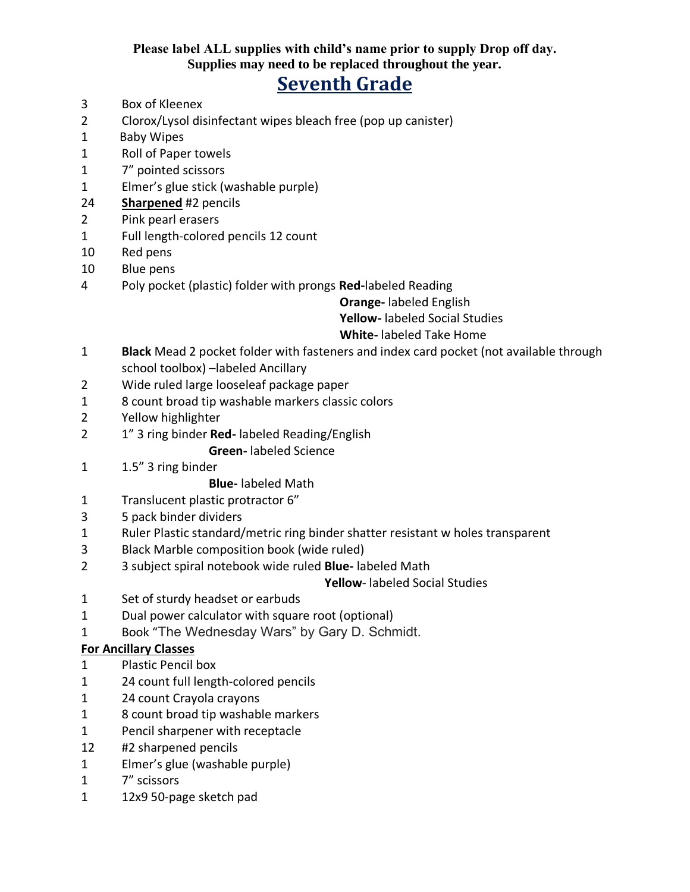### **Please label ALL supplies with child's name prior to supply Drop off day. Supplies may need to be replaced throughout the year.**

# **Seventh Grade**

- Box of Kleenex
- Clorox/Lysol disinfectant wipes bleach free (pop up canister)
- 1 Baby Wipes
- Roll of Paper towels
- 7" pointed scissors
- Elmer's glue stick (washable purple)
- **Sharpened** #2 pencils
- Pink pearl erasers
- Full length-colored pencils 12 count
- 10 Red pens
- Blue pens
- Poly pocket (plastic) folder with prongs **Red-**labeled Reading

 **Orange-** labeled English

 **Yellow-** labeled Social Studies

# **White-** labeled Take Home

- **Black** Mead 2 pocket folder with fasteners and index card pocket (not available through school toolbox) –labeled Ancillary
- 2 Wide ruled large looseleaf package paper
- 8 count broad tip washable markers classic colors
- Yellow highlighter
- 1" 3 ring binder **Red-** labeled Reading/English

# **Green-** labeled Science

1.5" 3 ring binder

# **Blue-** labeled Math

- Translucent plastic protractor 6"
- 5 pack binder dividers
- Ruler Plastic standard/metric ring binder shatter resistant w holes transparent
- Black Marble composition book (wide ruled)
- 3 subject spiral notebook wide ruled **Blue-** labeled Math

### **Yellow**- labeled Social Studies

- 1 Set of sturdy headset or earbuds
- Dual power calculator with square root (optional)
- Book "The Wednesday Wars" by Gary D. Schmidt.

### **For Ancillary Classes**

- Plastic Pencil box
- 24 count full length-colored pencils
- 24 count Crayola crayons
- 8 count broad tip washable markers
- Pencil sharpener with receptacle
- #2 sharpened pencils
- Elmer's glue (washable purple)
- 7" scissors
- 12x9 50-page sketch pad